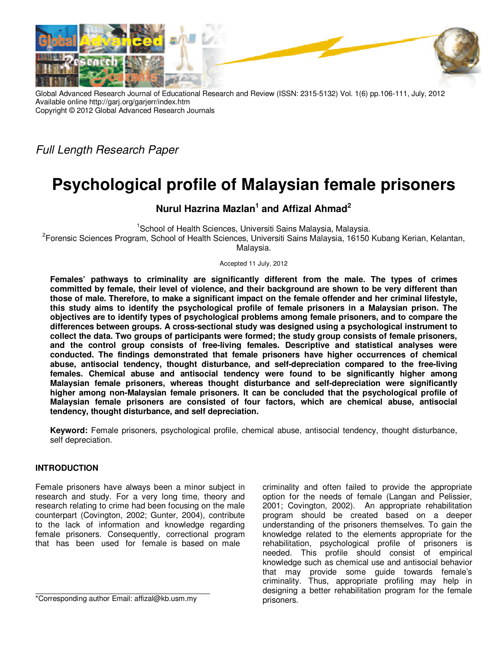

Global Advanced Research Journal of Educational Research and Review (ISSN: 2315-5132) Vol. 1(6) pp.106-111, July, 2012 Available online http://garj.org/garjerr/index.htm Copyright © 2012 Global Advanced Research Journals

Full Length Research Paper

# **Psychological profile of Malaysian female prisoners**

# **Nurul Hazrina Mazlan<sup>1</sup> and Affizal Ahmad<sup>2</sup>**

<sup>1</sup>School of Health Sciences, Universiti Sains Malaysia, Malaysia.

<sup>2</sup>Forensic Sciences Program, School of Health Sciences, Universiti Sains Malaysia, 16150 Kubang Kerian, Kelantan, Malaysia.

Accepted 11 July, 2012

**Females' pathways to criminality are significantly different from the male. The types of crimes committed by female, their level of violence, and their background are shown to be very different than those of male. Therefore, to make a significant impact on the female offender and her criminal lifestyle, this study aims to identify the psychological profile of female prisoners in a Malaysian prison. The objectives are to identify types of psychological problems among female prisoners, and to compare the differences between groups. A cross-sectional study was designed using a psychological instrument to collect the data. Two groups of participants were formed; the study group consists of female prisoners, and the control group consists of free-living females. Descriptive and statistical analyses were conducted. The findings demonstrated that female prisoners have higher occurrences of chemical abuse, antisocial tendency, thought disturbance, and self-depreciation compared to the free-living females. Chemical abuse and antisocial tendency were found to be significantly higher among Malaysian female prisoners, whereas thought disturbance and self-depreciation were significantly higher among non-Malaysian female prisoners. It can be concluded that the psychological profile of Malaysian female prisoners are consisted of four factors, which are chemical abuse, antisocial tendency, thought disturbance, and self depreciation.** 

**Keyword:** Female prisoners, psychological profile, chemical abuse, antisocial tendency, thought disturbance, self depreciation.

## **INTRODUCTION**

Female prisoners have always been a minor subject in research and study. For a very long time, theory and research relating to crime had been focusing on the male counterpart (Covington, 2002; Gunter, 2004), contribute to the lack of information and knowledge regarding female prisoners. Consequently, correctional program that has been used for female is based on male

criminality and often failed to provide the appropriate option for the needs of female (Langan and Pelissier, 2001; Covington, 2002). An appropriate rehabilitation program should be created based on a deeper understanding of the prisoners themselves. To gain the knowledge related to the elements appropriate for the rehabilitation, psychological profile of prisoners is needed. This profile should consist of empirical knowledge such as chemical use and antisocial behavior that may provide some guide towards female's criminality. Thus, appropriate profiling may help in designing a better rehabilitation program for the female prisoners.

<sup>\*</sup>Corresponding author Email: affizal@kb.usm.my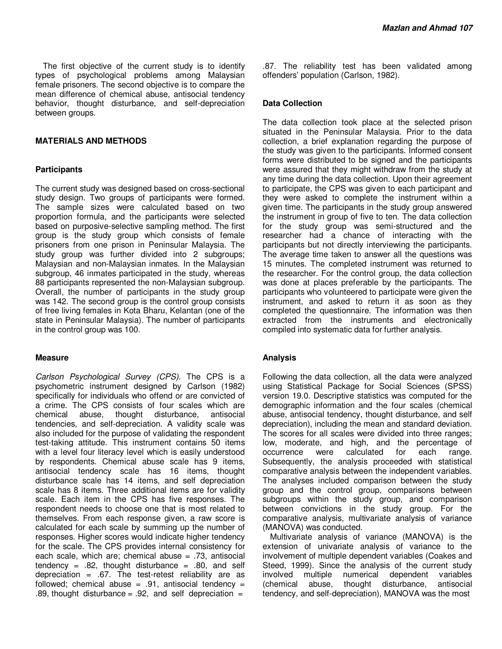The first objective of the current study is to identify types of psychological problems among Malaysian female prisoners. The second objective is to compare the mean difference of chemical abuse, antisocial tendency behavior, thought disturbance, and self-depreciation between groups.

#### **MATERIALS AND METHODS**

#### **Participants**

The current study was designed based on cross-sectional study design. Two groups of participants were formed. The sample sizes were calculated based on two proportion formula, and the participants were selected based on purposive-selective sampling method. The first group is the study group which consists of female prisoners from one prison in Peninsular Malaysia. The study group was further divided into 2 subgroups; Malaysian and non-Malaysian inmates. In the Malaysian subgroup, 46 inmates participated in the study, whereas 88 participants represented the non-Malaysian subgroup. Overall, the number of participants in the study group was 142. The second group is the control group consists of free living females in Kota Bharu, Kelantan (one of the state in Peninsular Malaysia). The number of participants in the control group was 100.

#### **Measure**

Carlson Psychological Survey (CPS). The CPS is a psychometric instrument designed by Carlson (1982) specifically for individuals who offend or are convicted of a crime. The CPS consists of four scales which are chemical abuse, thought disturbance, antisocial tendencies, and self-depreciation. A validity scale was also included for the purpose of validating the respondent test-taking attitude. This instrument contains 50 items with a level four literacy level which is easily understood by respondents. Chemical abuse scale has 9 items, antisocial tendency scale has 16 items, thought disturbance scale has 14 items, and self depreciation scale has 8 items. Three additional items are for validity scale. Each item in the CPS has five responses. The respondent needs to choose one that is most related to themselves. From each response given, a raw score is calculated for each scale by summing up the number of responses. Higher scores would indicate higher tendency for the scale. The CPS provides internal consistency for each scale, which are; chemical abuse = .73, antisocial tendency =  $.82$ , thought disturbance =  $.80$ , and self depreciation =  $.67$ . The test-retest reliability are as followed; chemical abuse =  $.91$ , antisocial tendency = .89, thought disturbance =  $.92$ , and self depreciation =

.87. The reliability test has been validated among offenders' population (Carlson, 1982).

#### **Data Collection**

The data collection took place at the selected prison situated in the Peninsular Malaysia. Prior to the data collection, a brief explanation regarding the purpose of the study was given to the participants. Informed consent forms were distributed to be signed and the participants were assured that they might withdraw from the study at any time during the data collection. Upon their agreement to participate, the CPS was given to each participant and they were asked to complete the instrument within a given time. The participants in the study group answered the instrument in group of five to ten. The data collection for the study group was semi-structured and the researcher had a chance of interacting with the participants but not directly interviewing the participants. The average time taken to answer all the questions was 15 minutes. The completed instrument was returned to the researcher. For the control group, the data collection was done at places preferable by the participants. The participants who volunteered to participate were given the instrument, and asked to return it as soon as they completed the questionnaire. The information was then extracted from the instruments and electronically compiled into systematic data for further analysis.

#### **Analysis**

Following the data collection, all the data were analyzed using Statistical Package for Social Sciences (SPSS) version 19.0. Descriptive statistics was computed for the demographic information and the four scales (chemical abuse, antisocial tendency, thought disturbance, and self depreciation), including the mean and standard deviation. The scores for all scales were divided into three ranges; low, moderate, and high, and the percentage of occurrence were calculated for each range. Subsequently, the analysis proceeded with statistical comparative analysis between the independent variables. The analyses included comparison between the study group and the control group, comparisons between subgroups within the study group, and comparison between convictions in the study group. For the comparative analysis, multivariate analysis of variance (MANOVA) was conducted.

Multivariate analysis of variance (MANOVA) is the extension of univariate analysis of variance to the involvement of multiple dependent variables (Coakes and Steed, 1999). Since the analysis of the current study involved multiple numerical dependent variables (chemical abuse, thought disturbance, antisocial tendency, and self-depreciation), MANOVA was the most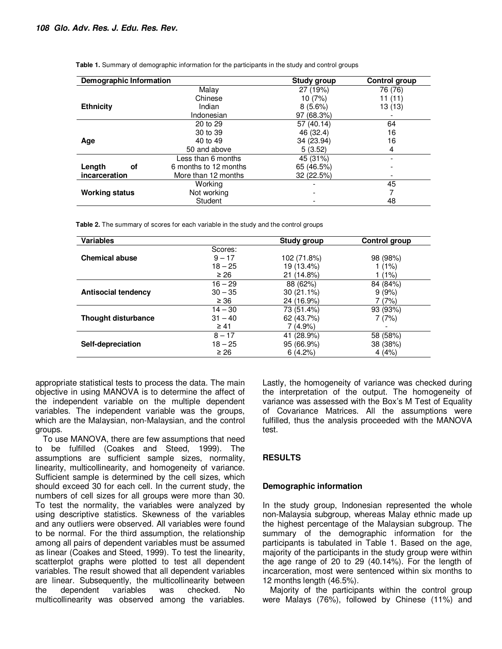| Demographic Information |                       | <b>Study group</b> | <b>Control group</b> |
|-------------------------|-----------------------|--------------------|----------------------|
|                         | Malay                 | 27 (19%)           | 76 (76)              |
|                         | Chinese               | 10 (7%)            | 11(11)               |
| <b>Ethnicity</b>        | Indian                | $8(5.6\%)$         | 13 (13)              |
|                         | Indonesian            | 97 (68.3%)         |                      |
|                         | 20 to 29              | 57 (40.14)         | 64                   |
|                         | 30 to 39              | 46 (32.4)          | 16                   |
| Age                     | 40 to 49              | 34 (23.94)         | 16                   |
|                         | 50 and above          | 5(3.52)            | 4                    |
|                         | Less than 6 months    | 45 (31%)           |                      |
| Length<br>οf            | 6 months to 12 months | 65 (46.5%)         |                      |
| incarceration           | More than 12 months   | 32 (22.5%)         |                      |
|                         | Working               |                    | 45                   |
| <b>Working status</b>   | Not working           |                    |                      |
|                         | Student               |                    | 48                   |

**Table 1.** Summary of demographic information for the participants in the study and control groups

**Table 2.** The summary of scores for each variable in the study and the control groups

| <b>Variables</b>           |           | Study group  | Control group |
|----------------------------|-----------|--------------|---------------|
|                            | Scores:   |              |               |
| <b>Chemical abuse</b>      | $9 - 17$  | 102 (71.8%)  | 98 (98%)      |
|                            | $18 - 25$ | 19 (13.4%)   | $1(1\%)$      |
|                            | $\geq 26$ | 21 (14.8%)   | (1%)          |
|                            | $16 - 29$ | 88 (62%)     | 84 (84%)      |
| <b>Antisocial tendency</b> | $30 - 35$ | $30(21.1\%)$ | 9(9%)         |
|                            | $\geq 36$ | 24 (16.9%)   | (7%)          |
|                            | $14 - 30$ | 73 (51.4%)   | 93 (93%)      |
| <b>Thought disturbance</b> | $31 - 40$ | 62 (43.7%)   | 7(7%)         |
|                            | $\geq 41$ | 7 (4.9%)     |               |
|                            | $8 - 17$  | 41 (28.9%)   | 58 (58%)      |
| Self-depreciation          | $18 - 25$ | 95 (66.9%)   | 38 (38%)      |
|                            | $\geq 26$ | 6(4.2%)      | 4(4%)         |

appropriate statistical tests to process the data. The main objective in using MANOVA is to determine the affect of the independent variable on the multiple dependent variables. The independent variable was the groups, which are the Malaysian, non-Malaysian, and the control groups.

To use MANOVA, there are few assumptions that need to be fulfilled (Coakes and Steed, 1999). The assumptions are sufficient sample sizes, normality, linearity, multicollinearity, and homogeneity of variance. Sufficient sample is determined by the cell sizes, which should exceed 30 for each cell. In the current study, the numbers of cell sizes for all groups were more than 30. To test the normality, the variables were analyzed by using descriptive statistics. Skewness of the variables and any outliers were observed. All variables were found to be normal. For the third assumption, the relationship among all pairs of dependent variables must be assumed as linear (Coakes and Steed, 1999). To test the linearity, scatterplot graphs were plotted to test all dependent variables. The result showed that all dependent variables are linear. Subsequently, the multicollinearity between the dependent variables was checked. No multicollinearity was observed among the variables.

Lastly, the homogeneity of variance was checked during the interpretation of the output. The homogeneity of variance was assessed with the Box's M Test of Equality of Covariance Matrices. All the assumptions were fulfilled, thus the analysis proceeded with the MANOVA test.

# **RESULTS**

## **Demographic information**

In the study group, Indonesian represented the whole non-Malaysia subgroup, whereas Malay ethnic made up the highest percentage of the Malaysian subgroup. The summary of the demographic information for the participants is tabulated in Table 1. Based on the age, majority of the participants in the study group were within the age range of 20 to 29 (40.14%). For the length of incarceration, most were sentenced within six months to 12 months length (46.5%).

Majority of the participants within the control group were Malays (76%), followed by Chinese (11%) and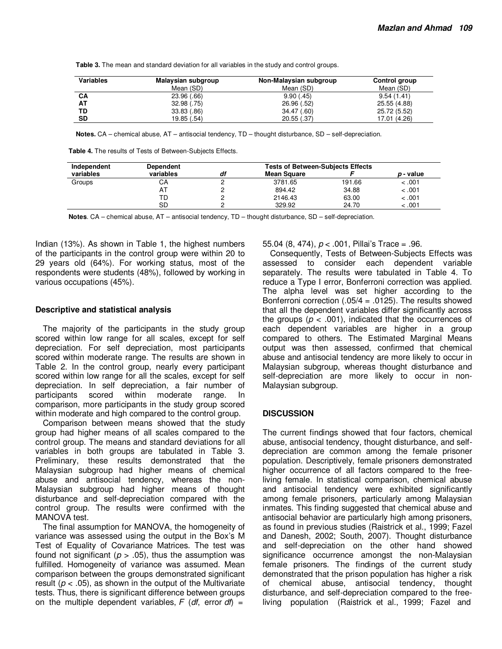**Table 3.** The mean and standard deviation for all variables in the study and control groups.

| <b>Variables</b> | Malaysian subgroup | Non-Malaysian subgroup | Control group |
|------------------|--------------------|------------------------|---------------|
|                  | Mean (SD)          | Mean (SD)              | Mean (SD)     |
| СA               | 23.96 (.66)        | 9.90(.45)              | 9.54(1.41)    |
| AT               | 32.98(.75)         | 26.96 (.52)            | 25.55 (4.88)  |
| TD               | 33.83 (.86)        | 34.47 (.60)            | 25.72 (5.52)  |
| SD               | 19.85 (.54)        | 20.55(.37)             | 17.01 (4.26)  |

**Notes.** CA – chemical abuse, AT – antisocial tendency, TD – thought disturbance, SD – self-depreciation.

**Table 4.** The results of Tests of Between-Subjects Effects.

| Independent | <b>Dependent</b> | <b>Tests of Between-Subjects Effects</b> |                    |        |                  |
|-------------|------------------|------------------------------------------|--------------------|--------|------------------|
| variables   | variables        | df                                       | <b>Mean Square</b> |        | <i>p</i> - value |
| Groups      | CА               |                                          | 3781.65            | 191.66 | < 0.01           |
|             | ΑI               |                                          | 894.42             | 34.88  | < 0.01           |
|             | TD               |                                          | 2146.43            | 63.00  | < 0.01           |
|             | SD               |                                          | 329.92             | 24.70  | < 0.01           |

**Notes**. CA – chemical abuse, AT – antisocial tendency, TD – thought disturbance, SD – self-depreciation.

Indian (13%). As shown in Table 1, the highest numbers of the participants in the control group were within 20 to 29 years old (64%). For working status, most of the respondents were students (48%), followed by working in various occupations (45%).

#### **Descriptive and statistical analysis**

The majority of the participants in the study group scored within low range for all scales, except for self depreciation. For self depreciation, most participants scored within moderate range. The results are shown in Table 2. In the control group, nearly every participant scored within low range for all the scales, except for self depreciation. In self depreciation, a fair number of participants scored within moderate range. In comparison, more participants in the study group scored within moderate and high compared to the control group.

Comparison between means showed that the study group had higher means of all scales compared to the control group. The means and standard deviations for all variables in both groups are tabulated in Table 3. Preliminary, these results demonstrated that the Malaysian subgroup had higher means of chemical abuse and antisocial tendency, whereas the non-Malaysian subgroup had higher means of thought disturbance and self-depreciation compared with the control group. The results were confirmed with the MANOVA test.

The final assumption for MANOVA, the homogeneity of variance was assessed using the output in the Box's M Test of Equality of Covariance Matrices. The test was found not significant ( $p > .05$ ), thus the assumption was fulfilled. Homogeneity of variance was assumed. Mean comparison between the groups demonstrated significant result ( $p < .05$ ), as shown in the output of the Multivariate tests. Thus, there is significant difference between groups on the multiple dependent variables,  $F$  (df, error df) =

55.04 (8, 474),  $p < .001$ , Pillai's Trace = .96.

Consequently, Tests of Between-Subjects Effects was assessed to consider each dependent variable separately. The results were tabulated in Table 4. To reduce a Type I error, Bonferroni correction was applied. The alpha level was set higher according to the Bonferroni correction (.05/4 = .0125). The results showed that all the dependent variables differ significantly across the groups ( $p < .001$ ), indicated that the occurrences of each dependent variables are higher in a group compared to others. The Estimated Marginal Means output was then assessed, confirmed that chemical abuse and antisocial tendency are more likely to occur in Malaysian subgroup, whereas thought disturbance and self-depreciation are more likely to occur in non-Malaysian subgroup.

#### **DISCUSSION**

The current findings showed that four factors, chemical abuse, antisocial tendency, thought disturbance, and selfdepreciation are common among the female prisoner population. Descriptively, female prisoners demonstrated higher occurrence of all factors compared to the freeliving female. In statistical comparison, chemical abuse and antisocial tendency were exhibited significantly among female prisoners, particularly among Malaysian inmates. This finding suggested that chemical abuse and antisocial behavior are particularly high among prisoners, as found in previous studies (Raistrick et al., 1999; Fazel and Danesh, 2002; South, 2007). Thought disturbance and self-depreciation on the other hand showed significance occurrence amongst the non-Malaysian female prisoners. The findings of the current study demonstrated that the prison population has higher a risk of chemical abuse, antisocial tendency, thought disturbance, and self-depreciation compared to the freeliving population (Raistrick et al., 1999; Fazel and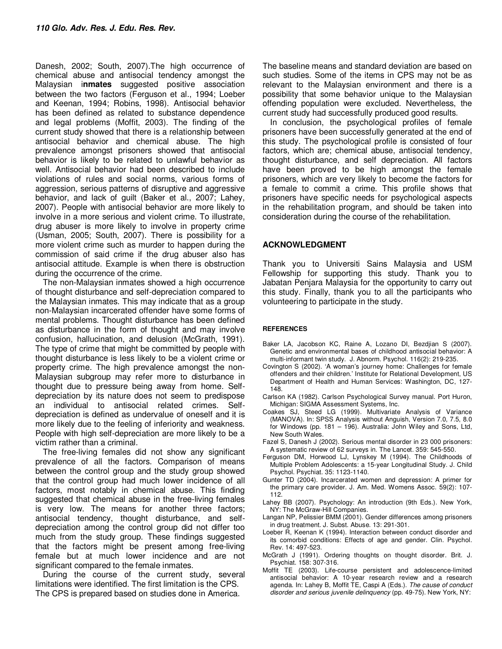Danesh, 2002; South, 2007).The high occurrence of chemical abuse and antisocial tendency amongst the Malaysian i**nmates** suggested positive association between the two factors (Ferguson et al., 1994; Loeber and Keenan, 1994; Robins, 1998). Antisocial behavior has been defined as related to substance dependence and legal problems (Moffit, 2003). The finding of the current study showed that there is a relationship between antisocial behavior and chemical abuse. The high prevalence amongst prisoners showed that antisocial behavior is likely to be related to unlawful behavior as well. Antisocial behavior had been described to include violations of rules and social norms, various forms of aggression, serious patterns of disruptive and aggressive behavior, and lack of guilt (Baker et al., 2007; Lahey, 2007). People with antisocial behavior are more likely to involve in a more serious and violent crime. To illustrate, drug abuser is more likely to involve in property crime (Usman, 2005; South, 2007). There is possibility for a more violent crime such as murder to happen during the commission of said crime if the drug abuser also has antisocial attitude. Example is when there is obstruction during the occurrence of the crime.

The non-Malaysian inmates showed a high occurrence of thought disturbance and self-depreciation compared to the Malaysian inmates. This may indicate that as a group non-Malaysian incarcerated offender have some forms of mental problems. Thought disturbance has been defined as disturbance in the form of thought and may involve confusion, hallucination, and delusion (McGrath, 1991). The type of crime that might be committed by people with thought disturbance is less likely to be a violent crime or property crime. The high prevalence amongst the non-Malaysian subgroup may refer more to disturbance in thought due to pressure being away from home. Selfdepreciation by its nature does not seem to predispose an individual to antisocial related crimes. Selfdepreciation is defined as undervalue of oneself and it is more likely due to the feeling of inferiority and weakness. People with high self-depreciation are more likely to be a victim rather than a criminal.

The free-living females did not show any significant prevalence of all the factors. Comparison of means between the control group and the study group showed that the control group had much lower incidence of all factors, most notably in chemical abuse. This finding suggested that chemical abuse in the free-living females is very low. The means for another three factors; antisocial tendency, thought disturbance, and selfdepreciation among the control group did not differ too much from the study group. These findings suggested that the factors might be present among free-living female but at much lower incidence and are not significant compared to the female inmates.

During the course of the current study, several limitations were identified. The first limitation is the CPS. The CPS is prepared based on studies done in America.

The baseline means and standard deviation are based on such studies. Some of the items in CPS may not be as relevant to the Malaysian environment and there is a possibility that some behavior unique to the Malaysian offending population were excluded. Nevertheless, the current study had successfully produced good results.

In conclusion, the psychological profiles of female prisoners have been successfully generated at the end of this study. The psychological profile is consisted of four factors, which are; chemical abuse, antisocial tendency, thought disturbance, and self depreciation. All factors have been proved to be high amongst the female prisoners, which are very likely to become the factors for a female to commit a crime. This profile shows that prisoners have specific needs for psychological aspects in the rehabilitation program, and should be taken into consideration during the course of the rehabilitation.

#### **ACKNOWLEDGMENT**

Thank you to Universiti Sains Malaysia and USM Fellowship for supporting this study. Thank you to Jabatan Penjara Malaysia for the opportunity to carry out this study. Finally, thank you to all the participants who volunteering to participate in the study.

#### **REFERENCES**

- Baker LA, Jacobson KC, Raine A, Lozano DI, Bezdjian S (2007). Genetic and environmental bases of childhood antisocial behavior: A multi-informant twin study. J. Abnorm. Psychol. 116(2): 219-235.
- Covington S (2002). 'A woman's journey home: Challenges for female offenders and their children.' Institute for Relational Development, US Department of Health and Human Services: Washington, DC, 127- 148.
- Carlson KA (1982). Carlson Psychological Survey manual. Port Huron, Michigan: SIGMA Assessment Systems, Inc.
- Coakes SJ, Steed LG (1999). Multivariate Analysis of Variance (MANOVA). In: SPSS Analysis without Anguish, Version 7.0, 7.5, 8.0 for Windows (pp. 181 – 196). Australia: John Wiley and Sons, Ltd, New South Wales.
- Fazel S, Danesh J (2002). Serious mental disorder in 23 000 prisoners: A systematic review of 62 surveys in. The Lancet. 359: 545-550.
- Ferguson DM, Horwood LJ, Lynskey M (1994). The Childhoods of Multiple Problem Adolescents: a 15-year Longitudinal Study. J. Child Psychol. Psychiat. 35: 1123-1140.
- Gunter TD (2004). Incarcerated women and depression: A primer for the primary care provider. J. Am. Med. Womens Assoc. 59(2): 107- 112.
- Lahey BB (2007). Psychology: An introduction (9th Eds.). New York, NY: The McGraw-Hill Companies.
- Langan NP, Pelissier BMM (2001). Gender differences among prisoners in drug treatment. J. Subst. Abuse. 13: 291-301.
- Loeber R, Keenan K (1994). Interaction between conduct disorder and its comorbid conditions: Effects of age and gender. Clin. Psychol. Rev. 14: 497-523.
- McGrath J (1991). Ordering thoughts on thought disorder. Brit. J. Psychiat. 158: 307-316.
- Moffit TE (2003). Life-course persistent and adolescence-limited antisocial behavior: A 10-year research review and a research agenda. In: Lahey B, Moffit TE, Caspi A (Eds.). The cause of conduct disorder and serious juvenile delinquency (pp. 49-75). New York, NY: